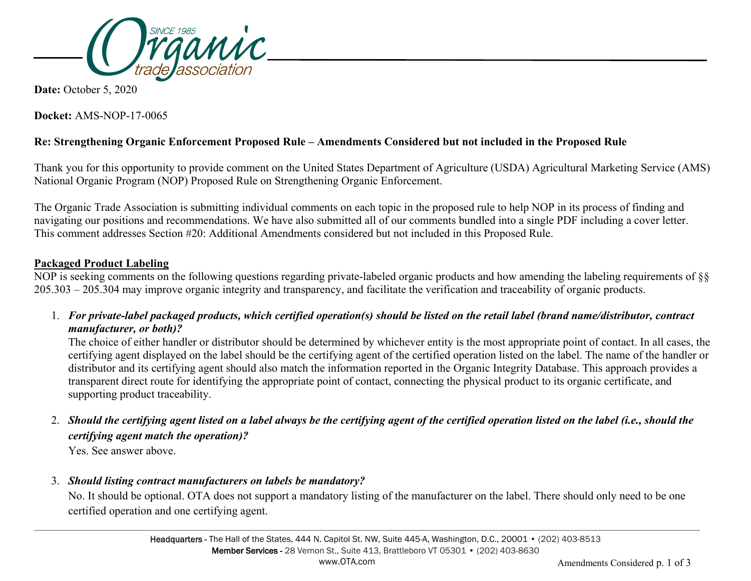

**Date:** October 5, 2020

**Docket:** AMS-NOP-17-0065

## **Re: Strengthening Organic Enforcement Proposed Rule – Amendments Considered but not included in the Proposed Rule**

Thank you for this opportunity to provide comment on the United States Department of Agriculture (USDA) Agricultural Marketing Service (AMS) National Organic Program (NOP) Proposed Rule on Strengthening Organic Enforcement.

The Organic Trade Association is submitting individual comments on each topic in the proposed rule to help NOP in its process of finding and navigating our positions and recommendations. We have also submitted all of our comments bundled into a single PDF including a cover letter. This comment addresses Section #20: Additional Amendments considered but not included in this Proposed Rule.

## **Packaged Product Labeling**

NOP is seeking comments on the following questions regarding private-labeled organic products and how amending the labeling requirements of §§ 205.303 – 205.304 may improve organic integrity and transparency, and facilitate the verification and traceability of organic products.

1. *For private-label packaged products, which certified operation(s) should be listed on the retail label (brand name/distributor, contract manufacturer, or both)?*

The choice of either handler or distributor should be determined by whichever entity is the most appropriate point of contact. In all cases, the certifying agent displayed on the label should be the certifying agent of the certified operation listed on the label. The name of the handler or distributor and its certifying agent should also match the information reported in the Organic Integrity Database. This approach provides a transparent direct route for identifying the appropriate point of contact, connecting the physical product to its organic certificate, and supporting product traceability.

2. *Should the certifying agent listed on a label always be the certifying agent of the certified operation listed on the label (i.e., should the certifying agent match the operation)?*

Yes. See answer above.

3. *Should listing contract manufacturers on labels be mandatory?*

No. It should be optional. OTA does not support a mandatory listing of the manufacturer on the label. There should only need to be one certified operation and one certifying agent.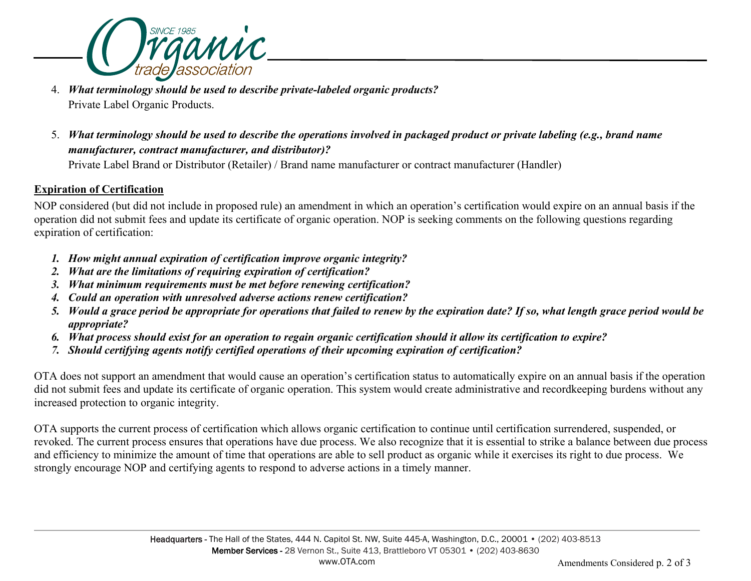

- 4. *What terminology should be used to describe private-labeled organic products?* Private Label Organic Products.
- 5. *What terminology should be used to describe the operations involved in packaged product or private labeling (e.g., brand name manufacturer, contract manufacturer, and distributor)?*

Private Label Brand or Distributor (Retailer) / Brand name manufacturer or contract manufacturer (Handler)

## **Expiration of Certification**

NOP considered (but did not include in proposed rule) an amendment in which an operation's certification would expire on an annual basis if the operation did not submit fees and update its certificate of organic operation. NOP is seeking comments on the following questions regarding expiration of certification:

- *1. How might annual expiration of certification improve organic integrity?*
- *2. What are the limitations of requiring expiration of certification?*
- *3. What minimum requirements must be met before renewing certification?*
- *4. Could an operation with unresolved adverse actions renew certification?*
- *5. Would a grace period be appropriate for operations that failed to renew by the expiration date? If so, what length grace period would be appropriate?*
- *6. What process should exist for an operation to regain organic certification should it allow its certification to expire?*
- *7. Should certifying agents notify certified operations of their upcoming expiration of certification?*

OTA does not support an amendment that would cause an operation's certification status to automatically expire on an annual basis if the operation did not submit fees and update its certificate of organic operation. This system would create administrative and recordkeeping burdens without any increased protection to organic integrity.

OTA supports the current process of certification which allows organic certification to continue until certification surrendered, suspended, or revoked. The current process ensures that operations have due process. We also recognize that it is essential to strike a balance between due process and efficiency to minimize the amount of time that operations are able to sell product as organic while it exercises its right to due process. We strongly encourage NOP and certifying agents to respond to adverse actions in a timely manner.